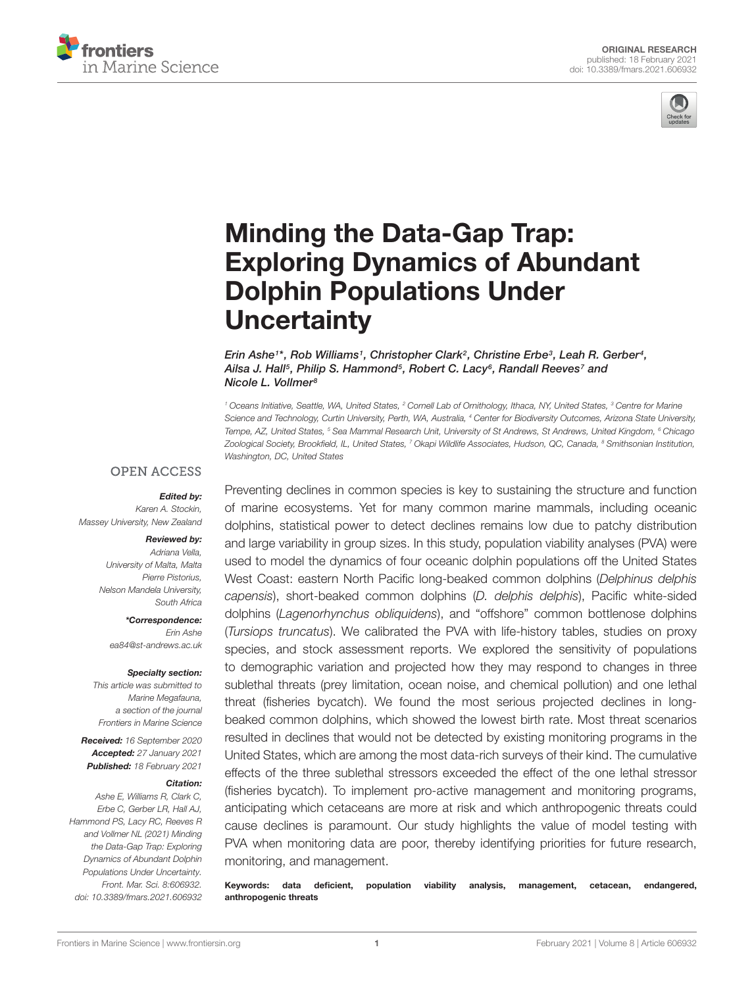



# Minding the Data-Gap Trap: [Exploring Dynamics of Abundant](https://www.frontiersin.org/articles/10.3389/fmars.2021.606932/full) Dolphin Populations Under **Uncertainty**

Erin Ashe1\*, Rob Williams1, Christopher Clark<sup>2</sup>, Christine Erbe3, Leah R. Gerber4, Ailsa J. Hall<sup>s</sup>, Philip S. Hammond<sup>s</sup>, Robert C. Lacy<sup>s</sup>, Randall Reeves<sup>7</sup> and Nicole L. Vollmer<sup>8</sup>

<sup>1</sup> Oceans Initiative, Seattle, WA, United States, <sup>2</sup> Cornell Lab of Ornithology, Ithaca, NY, United States, <sup>3</sup> Centre for Marine Science and Technology, Curtin University, Perth, WA, Australia, <sup>4</sup> Center for Biodiversity Outcomes, Arizona State University, Tempe, AZ, United States, <sup>5</sup> Sea Mammal Research Unit, University of St Andrews, St Andrews, United Kingdom, <sup>6</sup> Chicago Zoological Society, Brookfield, IL, United States, 7 Okapi Wildlife Associates, Hudson, QC, Canada, <sup>8</sup> Smithsonian Institution, Washington, DC, United States

### **OPEN ACCESS**

#### Edited by:

Karen A. Stockin, Massey University, New Zealand

#### Reviewed by:

Adriana Vella, University of Malta, Malta Pierre Pistorius, Nelson Mandela University, South Africa

\*Correspondence: Erin Ashe ea84@st-andrews.ac.uk

#### Specialty section:

This article was submitted to Marine Megafauna, a section of the journal Frontiers in Marine Science

Received: 16 September 2020 Accepted: 27 January 2021 Published: 18 February 2021

#### Citation:

Ashe E, Williams R, Clark C, Erbe C, Gerber LR, Hall AJ, Hammond PS, Lacy RC, Reeves R and Vollmer NL (2021) Minding the Data-Gap Trap: Exploring Dynamics of Abundant Dolphin Populations Under Uncertainty. Front. Mar. Sci. 8:606932. doi: [10.3389/fmars.2021.606932](https://doi.org/10.3389/fmars.2021.606932)

Preventing declines in common species is key to sustaining the structure and function of marine ecosystems. Yet for many common marine mammals, including oceanic dolphins, statistical power to detect declines remains low due to patchy distribution and large variability in group sizes. In this study, population viability analyses (PVA) were used to model the dynamics of four oceanic dolphin populations off the United States West Coast: eastern North Pacific long-beaked common dolphins (Delphinus delphis capensis), short-beaked common dolphins (D. delphis delphis), Pacific white-sided dolphins (Lagenorhynchus obliquidens), and "offshore" common bottlenose dolphins (Tursiops truncatus). We calibrated the PVA with life-history tables, studies on proxy species, and stock assessment reports. We explored the sensitivity of populations to demographic variation and projected how they may respond to changes in three sublethal threats (prey limitation, ocean noise, and chemical pollution) and one lethal threat (fisheries bycatch). We found the most serious projected declines in longbeaked common dolphins, which showed the lowest birth rate. Most threat scenarios resulted in declines that would not be detected by existing monitoring programs in the United States, which are among the most data-rich surveys of their kind. The cumulative effects of the three sublethal stressors exceeded the effect of the one lethal stressor (fisheries bycatch). To implement pro-active management and monitoring programs, anticipating which cetaceans are more at risk and which anthropogenic threats could cause declines is paramount. Our study highlights the value of model testing with PVA when monitoring data are poor, thereby identifying priorities for future research, monitoring, and management.

Keywords: data deficient, population viability analysis, management, cetacean, endangered, anthropogenic threats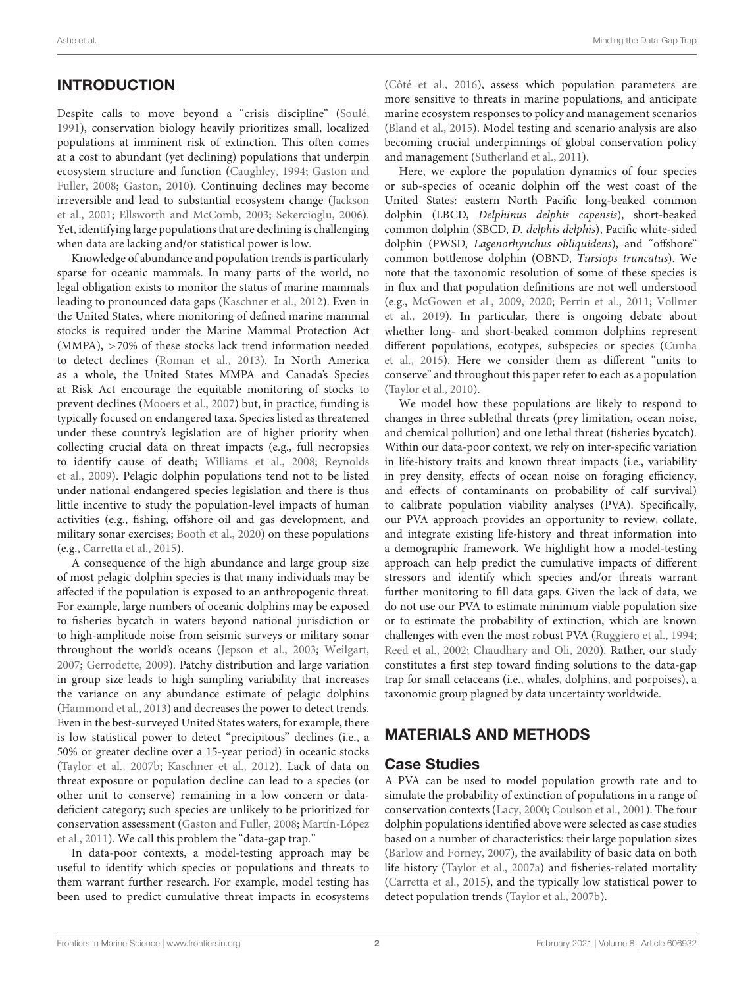# **INTRODUCTION**

Despite calls to move beyond a "crisis discipline" [\(Soulé,](#page-8-0) [1991\)](#page-8-0), conservation biology heavily prioritizes small, localized populations at imminent risk of extinction. This often comes at a cost to abundant (yet declining) populations that underpin ecosystem structure and function [\(Caughley,](#page-7-0) [1994;](#page-7-0) [Gaston and](#page-7-1) [Fuller,](#page-7-1) [2008;](#page-7-1) [Gaston,](#page-7-2) [2010\)](#page-7-2). Continuing declines may become irreversible and lead to substantial ecosystem change [\(Jackson](#page-7-3) [et al.,](#page-7-3) [2001;](#page-7-3) [Ellsworth and McComb,](#page-7-4) [2003;](#page-7-4) [Sekercioglu,](#page-8-1) [2006\)](#page-8-1). Yet, identifying large populations that are declining is challenging when data are lacking and/or statistical power is low.

Knowledge of abundance and population trends is particularly sparse for oceanic mammals. In many parts of the world, no legal obligation exists to monitor the status of marine mammals leading to pronounced data gaps [\(Kaschner et al.,](#page-7-5) [2012\)](#page-7-5). Even in the United States, where monitoring of defined marine mammal stocks is required under the Marine Mammal Protection Act (MMPA), >70% of these stocks lack trend information needed to detect declines [\(Roman et al.,](#page-8-2) [2013\)](#page-8-2). In North America as a whole, the United States MMPA and Canada's Species at Risk Act encourage the equitable monitoring of stocks to prevent declines [\(Mooers et al.,](#page-8-3) [2007\)](#page-8-3) but, in practice, funding is typically focused on endangered taxa. Species listed as threatened under these country's legislation are of higher priority when collecting crucial data on threat impacts (e.g., full necropsies to identify cause of death; [Williams et al.,](#page-9-0) [2008;](#page-9-0) [Reynolds](#page-8-4) [et al.,](#page-8-4) [2009\)](#page-8-4). Pelagic dolphin populations tend not to be listed under national endangered species legislation and there is thus little incentive to study the population-level impacts of human activities (e.g., fishing, offshore oil and gas development, and military sonar exercises; [Booth et al.,](#page-7-6) [2020\)](#page-7-6) on these populations (e.g., [Carretta et al.,](#page-7-7) [2015\)](#page-7-7).

A consequence of the high abundance and large group size of most pelagic dolphin species is that many individuals may be affected if the population is exposed to an anthropogenic threat. For example, large numbers of oceanic dolphins may be exposed to fisheries bycatch in waters beyond national jurisdiction or to high-amplitude noise from seismic surveys or military sonar throughout the world's oceans [\(Jepson et al.,](#page-7-8) [2003;](#page-7-8) [Weilgart,](#page-8-5) [2007;](#page-8-5) [Gerrodette,](#page-7-9) [2009\)](#page-7-9). Patchy distribution and large variation in group size leads to high sampling variability that increases the variance on any abundance estimate of pelagic dolphins [\(Hammond et al.,](#page-7-10) [2013\)](#page-7-10) and decreases the power to detect trends. Even in the best-surveyed United States waters, for example, there is low statistical power to detect "precipitous" declines (i.e., a 50% or greater decline over a 15-year period) in oceanic stocks [\(Taylor et al.,](#page-8-6) [2007b;](#page-8-6) [Kaschner et al.,](#page-7-5) [2012\)](#page-7-5). Lack of data on threat exposure or population decline can lead to a species (or other unit to conserve) remaining in a low concern or datadeficient category; such species are unlikely to be prioritized for conservation assessment [\(Gaston and Fuller,](#page-7-1) [2008;](#page-7-1) [Martín-López](#page-8-7) [et al.,](#page-8-7) [2011\)](#page-8-7). We call this problem the "data-gap trap."

In data-poor contexts, a model-testing approach may be useful to identify which species or populations and threats to them warrant further research. For example, model testing has been used to predict cumulative threat impacts in ecosystems [\(Côté et al.,](#page-7-11) [2016\)](#page-7-11), assess which population parameters are more sensitive to threats in marine populations, and anticipate marine ecosystem responses to policy and management scenarios [\(Bland et al.,](#page-7-12) [2015\)](#page-7-12). Model testing and scenario analysis are also becoming crucial underpinnings of global conservation policy and management [\(Sutherland et al.,](#page-8-8) [2011\)](#page-8-8).

Here, we explore the population dynamics of four species or sub-species of oceanic dolphin off the west coast of the United States: eastern North Pacific long-beaked common dolphin (LBCD, Delphinus delphis capensis), short-beaked common dolphin (SBCD, D. delphis delphis), Pacific white-sided dolphin (PWSD, Lagenorhynchus obliquidens), and "offshore" common bottlenose dolphin (OBND, Tursiops truncatus). We note that the taxonomic resolution of some of these species is in flux and that population definitions are not well understood (e.g., [McGowen et al.,](#page-8-9) [2009,](#page-8-9) [2020;](#page-8-10) [Perrin et al.,](#page-8-11) [2011;](#page-8-11) [Vollmer](#page-8-12) [et al.,](#page-8-12) [2019\)](#page-8-12). In particular, there is ongoing debate about whether long- and short-beaked common dolphins represent different populations, ecotypes, subspecies or species [\(Cunha](#page-7-13) [et al.,](#page-7-13) [2015\)](#page-7-13). Here we consider them as different "units to conserve" and throughout this paper refer to each as a population [\(Taylor et al.,](#page-8-13) [2010\)](#page-8-13).

We model how these populations are likely to respond to changes in three sublethal threats (prey limitation, ocean noise, and chemical pollution) and one lethal threat (fisheries bycatch). Within our data-poor context, we rely on inter-specific variation in life-history traits and known threat impacts (i.e., variability in prey density, effects of ocean noise on foraging efficiency, and effects of contaminants on probability of calf survival) to calibrate population viability analyses (PVA). Specifically, our PVA approach provides an opportunity to review, collate, and integrate existing life-history and threat information into a demographic framework. We highlight how a model-testing approach can help predict the cumulative impacts of different stressors and identify which species and/or threats warrant further monitoring to fill data gaps. Given the lack of data, we do not use our PVA to estimate minimum viable population size or to estimate the probability of extinction, which are known challenges with even the most robust PVA [\(Ruggiero et al.,](#page-8-14) [1994;](#page-8-14) [Reed et al.,](#page-8-15) [2002;](#page-8-15) [Chaudhary and Oli,](#page-7-14) [2020\)](#page-7-14). Rather, our study constitutes a first step toward finding solutions to the data-gap trap for small cetaceans (i.e., whales, dolphins, and porpoises), a taxonomic group plagued by data uncertainty worldwide.

# MATERIALS AND METHODS

## Case Studies

A PVA can be used to model population growth rate and to simulate the probability of extinction of populations in a range of conservation contexts [\(Lacy,](#page-8-16) [2000;](#page-8-16) [Coulson et al.,](#page-7-15) [2001\)](#page-7-15). The four dolphin populations identified above were selected as case studies based on a number of characteristics: their large population sizes [\(Barlow and Forney,](#page-7-16) [2007\)](#page-7-16), the availability of basic data on both life history [\(Taylor et al.,](#page-8-17) [2007a\)](#page-8-17) and fisheries-related mortality [\(Carretta et al.,](#page-7-7) [2015\)](#page-7-7), and the typically low statistical power to detect population trends [\(Taylor et al.,](#page-8-6) [2007b\)](#page-8-6).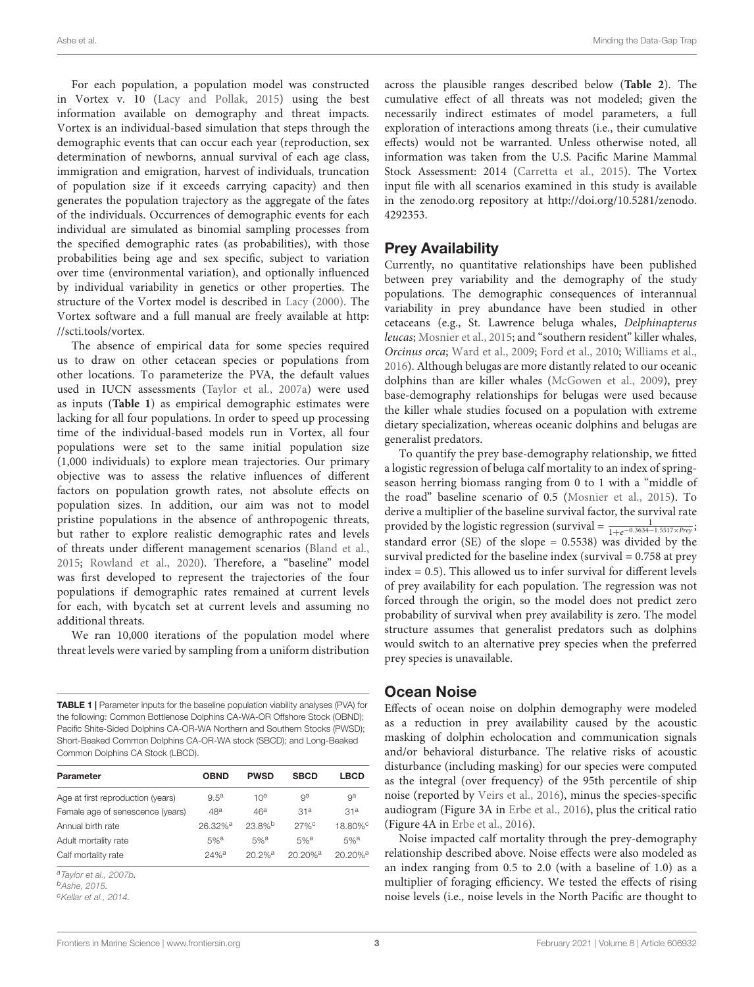For each population, a population model was constructed in Vortex v. 10 [\(Lacy and Pollak,](#page-8-18) [2015\)](#page-8-18) using the best information available on demography and threat impacts. Vortex is an individual-based simulation that steps through the demographic events that can occur each year (reproduction, sex determination of newborns, annual survival of each age class, immigration and emigration, harvest of individuals, truncation of population size if it exceeds carrying capacity) and then generates the population trajectory as the aggregate of the fates of the individuals. Occurrences of demographic events for each individual are simulated as binomial sampling processes from the specified demographic rates (as probabilities), with those probabilities being age and sex specific, subject to variation over time (environmental variation), and optionally influenced by individual variability in genetics or other properties. The structure of the Vortex model is described in [Lacy](#page-8-16) [\(2000\)](#page-8-16). The Vortex software and a full manual are freely available at [http:](http://scti.tools/vortex) [//scti.tools/vortex.](http://scti.tools/vortex)

The absence of empirical data for some species required us to draw on other cetacean species or populations from other locations. To parameterize the PVA, the default values used in IUCN assessments [\(Taylor et al.,](#page-8-17) [2007a\)](#page-8-17) were used as inputs (**[Table 1](#page-2-0)**) as empirical demographic estimates were lacking for all four populations. In order to speed up processing time of the individual-based models run in Vortex, all four populations were set to the same initial population size (1,000 individuals) to explore mean trajectories. Our primary objective was to assess the relative influences of different factors on population growth rates, not absolute effects on population sizes. In addition, our aim was not to model pristine populations in the absence of anthropogenic threats, but rather to explore realistic demographic rates and levels of threats under different management scenarios [\(Bland et al.,](#page-7-12) [2015;](#page-7-12) [Rowland et al.,](#page-8-19) [2020\)](#page-8-19). Therefore, a "baseline" model was first developed to represent the trajectories of the four populations if demographic rates remained at current levels for each, with bycatch set at current levels and assuming no additional threats.

We ran 10,000 iterations of the population model where threat levels were varied by sampling from a uniform distribution

<span id="page-2-0"></span>TABLE 1 | Parameter inputs for the baseline population viability analyses (PVA) for the following: Common Bottlenose Dolphins CA-WA-OR Offshore Stock (OBND); Pacific Shite-Sided Dolphins CA-OR-WA Northern and Southern Stocks (PWSD); Short-Beaked Common Dolphins CA-OR-WA stock (SBCD); and Long-Beaked Common Dolphins CA Stock (LBCD).

| Parameter                         | <b>OBND</b>           | <b>PWSD</b>          | <b>SBCD</b>           | <b>LBCD</b>            |
|-----------------------------------|-----------------------|----------------------|-----------------------|------------------------|
| Age at first reproduction (years) | $9.5^{\rm a}$         | 10 <sup>a</sup>      | ga                    | ga                     |
| Female age of senescence (years)  | 48 <sup>a</sup>       | 46 <sup>a</sup>      | 31 <sup>a</sup>       | 31 <sup>a</sup>        |
| Annual birth rate                 | $26.32%$ <sup>a</sup> | $23.8%$ <sup>b</sup> | 27%                   | 18.80% <sup>c</sup>    |
| Adult mortality rate              | $5%^a$                | $5%$ <sup>a</sup>    | $5%^a$                | $5%$ <sup>a</sup>      |
| Calf mortality rate               | $24%$ <sup>a</sup>    | $20.2%$ <sup>a</sup> | $20.20%$ <sup>a</sup> | $20.20\%$ <sup>a</sup> |

<sup>a</sup>[Taylor et al.,](#page-8-6) [2007b.](#page-8-6)

<sup>b</sup>[Ashe,](#page-7-17) [2015.](#page-7-17)

<sup>c</sup>[Kellar et al.,](#page-7-18) [2014.](#page-7-18)

across the plausible ranges described below (**[Table 2](#page-3-0)**). The cumulative effect of all threats was not modeled; given the necessarily indirect estimates of model parameters, a full exploration of interactions among threats (i.e., their cumulative effects) would not be warranted. Unless otherwise noted, all information was taken from the U.S. Pacific Marine Mammal Stock Assessment: 2014 [\(Carretta et al.,](#page-7-7) [2015\)](#page-7-7). The Vortex input file with all scenarios examined in this study is available in the [zenodo.org](http://zenodo.org) repository at [http://doi.org/10.5281/zenodo.](http://doi.org/10.5281/zenodo.4292353) [4292353.](http://doi.org/10.5281/zenodo.4292353)

### Prey Availability

Currently, no quantitative relationships have been published between prey variability and the demography of the study populations. The demographic consequences of interannual variability in prey abundance have been studied in other cetaceans (e.g., St. Lawrence beluga whales, Delphinapterus leucas; [Mosnier et al.,](#page-8-20) [2015;](#page-8-20) and "southern resident" killer whales, Orcinus orca; [Ward et al.,](#page-8-21) [2009;](#page-8-21) [Ford et al.,](#page-7-19) [2010;](#page-7-19) [Williams et al.,](#page-9-1) [2016\)](#page-9-1). Although belugas are more distantly related to our oceanic dolphins than are killer whales [\(McGowen et al.,](#page-8-9) [2009\)](#page-8-9), prey base-demography relationships for belugas were used because the killer whale studies focused on a population with extreme dietary specialization, whereas oceanic dolphins and belugas are generalist predators.

To quantify the prey base-demography relationship, we fitted a logistic regression of beluga calf mortality to an index of springseason herring biomass ranging from 0 to 1 with a "middle of the road" baseline scenario of 0.5 [\(Mosnier et al.,](#page-8-20) [2015\)](#page-8-20). To derive a multiplier of the baseline survival factor, the survival rate provided by the logistic regression (survival =  $\frac{1}{1+e^{-0.3634-1.5517 \times Prey}}$ ; standard error (SE) of the slope = 0.5538) was divided by the survival predicted for the baseline index (survival  $= 0.758$  at prey index = 0.5). This allowed us to infer survival for different levels of prey availability for each population. The regression was not forced through the origin, so the model does not predict zero probability of survival when prey availability is zero. The model structure assumes that generalist predators such as dolphins would switch to an alternative prey species when the preferred prey species is unavailable.

## Ocean Noise

Effects of ocean noise on dolphin demography were modeled as a reduction in prey availability caused by the acoustic masking of dolphin echolocation and communication signals and/or behavioral disturbance. The relative risks of acoustic disturbance (including masking) for our species were computed as the integral (over frequency) of the 95th percentile of ship noise (reported by [Veirs et al.,](#page-8-22) [2016\)](#page-8-22), minus the species-specific audiogram (Figure 3A in [Erbe et al.,](#page-7-20) [2016\)](#page-7-20), plus the critical ratio (Figure 4A in [Erbe et al.,](#page-7-20) [2016\)](#page-7-20).

Noise impacted calf mortality through the prey-demography relationship described above. Noise effects were also modeled as an index ranging from 0.5 to 2.0 (with a baseline of 1.0) as a multiplier of foraging efficiency. We tested the effects of rising noise levels (i.e., noise levels in the North Pacific are thought to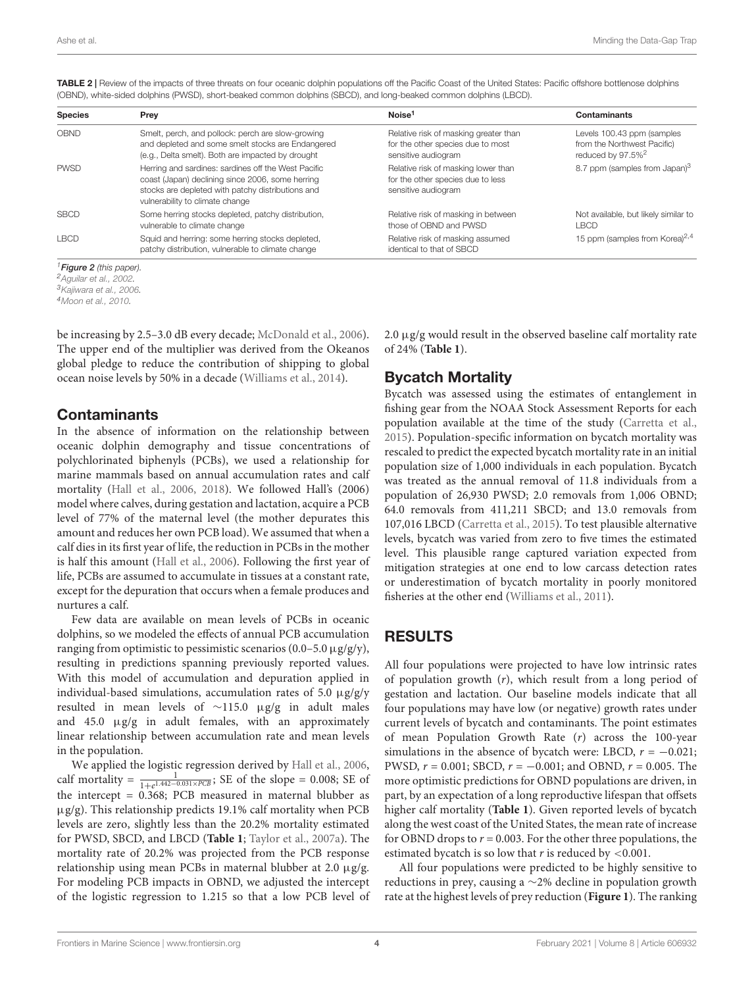| <b>Species</b> | Prey                                                                                                                                                                                            | Noise <sup>1</sup>                                                                                | <b>Contaminants</b>                                                                        |
|----------------|-------------------------------------------------------------------------------------------------------------------------------------------------------------------------------------------------|---------------------------------------------------------------------------------------------------|--------------------------------------------------------------------------------------------|
| OBND           | Smelt, perch, and pollock: perch are slow-growing<br>and depleted and some smelt stocks are Endangered<br>(e.g., Delta smelt). Both are impacted by drought                                     | Relative risk of masking greater than<br>for the other species due to most<br>sensitive audiogram | Levels 100.43 ppm (samples<br>from the Northwest Pacific)<br>reduced by 97.5% <sup>2</sup> |
| <b>PWSD</b>    | Herring and sardines: sardines off the West Pacific<br>coast (Japan) declining since 2006, some herring<br>stocks are depleted with patchy distributions and<br>vulnerability to climate change | Relative risk of masking lower than<br>for the other species due to less<br>sensitive audiogram   | 8.7 ppm (samples from Japan) <sup>3</sup>                                                  |
| <b>SBCD</b>    | Some herring stocks depleted, patchy distribution,<br>vulnerable to climate change                                                                                                              | Relative risk of masking in between<br>those of OBND and PWSD                                     | Not available, but likely similar to<br>I BCD                                              |
| <b>LBCD</b>    | Squid and herring: some herring stocks depleted,<br>patchy distribution, vulnerable to climate change                                                                                           | Relative risk of masking assumed<br>identical to that of SBCD                                     | 15 ppm (samples from Korea) <sup>2,4</sup>                                                 |

<span id="page-3-0"></span>TABLE 2 | Review of the impacts of three threats on four oceanic dolphin populations off the Pacific Coast of the United States: Pacific offshore bottlenose dolphins (OBND), white-sided dolphins (PWSD), short-beaked common dolphins (SBCD), and long-beaked common dolphins (LBCD).

<sup>1</sup> [Figure 2](#page-5-0) (this paper).

<sup>2</sup>[Aguilar et al.,](#page-7-21) [2002.](#page-7-21)

<sup>3</sup>[Kajiwara et al.,](#page-7-22) [2006.](#page-7-22)

<sup>4</sup>[Moon et al.,](#page-8-23) [2010.](#page-8-23)

be increasing by 2.5–3.0 dB every decade; [McDonald et al.,](#page-8-24) [2006\)](#page-8-24). The upper end of the multiplier was derived from the Okeanos global pledge to reduce the contribution of shipping to global ocean noise levels by 50% in a decade [\(Williams et al.,](#page-8-25) [2014\)](#page-8-25).

### Contaminants

In the absence of information on the relationship between oceanic dolphin demography and tissue concentrations of polychlorinated biphenyls (PCBs), we used a relationship for marine mammals based on annual accumulation rates and calf mortality [\(Hall et al.,](#page-7-23) [2006,](#page-7-23) [2018\)](#page-7-24). We followed Hall's (2006) model where calves, during gestation and lactation, acquire a PCB level of 77% of the maternal level (the mother depurates this amount and reduces her own PCB load). We assumed that when a calf dies in its first year of life, the reduction in PCBs in the mother is half this amount [\(Hall et al.,](#page-7-23) [2006\)](#page-7-23). Following the first year of life, PCBs are assumed to accumulate in tissues at a constant rate, except for the depuration that occurs when a female produces and nurtures a calf.

Few data are available on mean levels of PCBs in oceanic dolphins, so we modeled the effects of annual PCB accumulation ranging from optimistic to pessimistic scenarios (0.0–5.0  $\mu$ g/g/y), resulting in predictions spanning previously reported values. With this model of accumulation and depuration applied in individual-based simulations, accumulation rates of 5.0  $\mu$ g/g/y resulted in mean levels of ∼115.0 µg/g in adult males and 45.0  $\mu$ g/g in adult females, with an approximately linear relationship between accumulation rate and mean levels in the population.

We applied the logistic regression derived by [Hall et al.,](#page-7-23) [2006,](#page-7-23) calf mortality =  $\frac{1}{1+e^{1.442-0.031 \times PQB}}$ ; SE of the slope = 0.008; SE of the intercept = 0.368; PCB measured in maternal blubber as  $\mu$ g/g). This relationship predicts 19.1% calf mortality when PCB levels are zero, slightly less than the 20.2% mortality estimated for PWSD, SBCD, and LBCD (**[Table 1](#page-2-0)**; [Taylor et al.,](#page-8-17) [2007a\)](#page-8-17). The mortality rate of 20.2% was projected from the PCB response relationship using mean PCBs in maternal blubber at 2.0  $\mu$ g/g. For modeling PCB impacts in OBND, we adjusted the intercept of the logistic regression to 1.215 so that a low PCB level of  $2.0 \mu$ g/g would result in the observed baseline calf mortality rate of 24% (**[Table 1](#page-2-0)**).

## Bycatch Mortality

Bycatch was assessed using the estimates of entanglement in fishing gear from the NOAA Stock Assessment Reports for each population available at the time of the study [\(Carretta et al.,](#page-7-7) [2015\)](#page-7-7). Population-specific information on bycatch mortality was rescaled to predict the expected bycatch mortality rate in an initial population size of 1,000 individuals in each population. Bycatch was treated as the annual removal of 11.8 individuals from a population of 26,930 PWSD; 2.0 removals from 1,006 OBND; 64.0 removals from 411,211 SBCD; and 13.0 removals from 107,016 LBCD [\(Carretta et al.,](#page-7-7) [2015\)](#page-7-7). To test plausible alternative levels, bycatch was varied from zero to five times the estimated level. This plausible range captured variation expected from mitigation strategies at one end to low carcass detection rates or underestimation of bycatch mortality in poorly monitored fisheries at the other end [\(Williams et al.,](#page-8-26) [2011\)](#page-8-26).

## RESULTS

All four populations were projected to have low intrinsic rates of population growth  $(r)$ , which result from a long period of gestation and lactation. Our baseline models indicate that all four populations may have low (or negative) growth rates under current levels of bycatch and contaminants. The point estimates of mean Population Growth Rate  $(r)$  across the 100-year simulations in the absence of bycatch were: LBCD,  $r = -0.021$ ; PWSD,  $r = 0.001$ ; SBCD,  $r = -0.001$ ; and OBND,  $r = 0.005$ . The more optimistic predictions for OBND populations are driven, in part, by an expectation of a long reproductive lifespan that offsets higher calf mortality (**[Table 1](#page-2-0)**). Given reported levels of bycatch along the west coast of the United States, the mean rate of increase for OBND drops to  $r = 0.003$ . For the other three populations, the estimated bycatch is so low that  $r$  is reduced by <0.001.

All four populations were predicted to be highly sensitive to reductions in prey, causing a ∼2% decline in population growth rate at the highest levels of prey reduction (**[Figure 1](#page-4-0)**). The ranking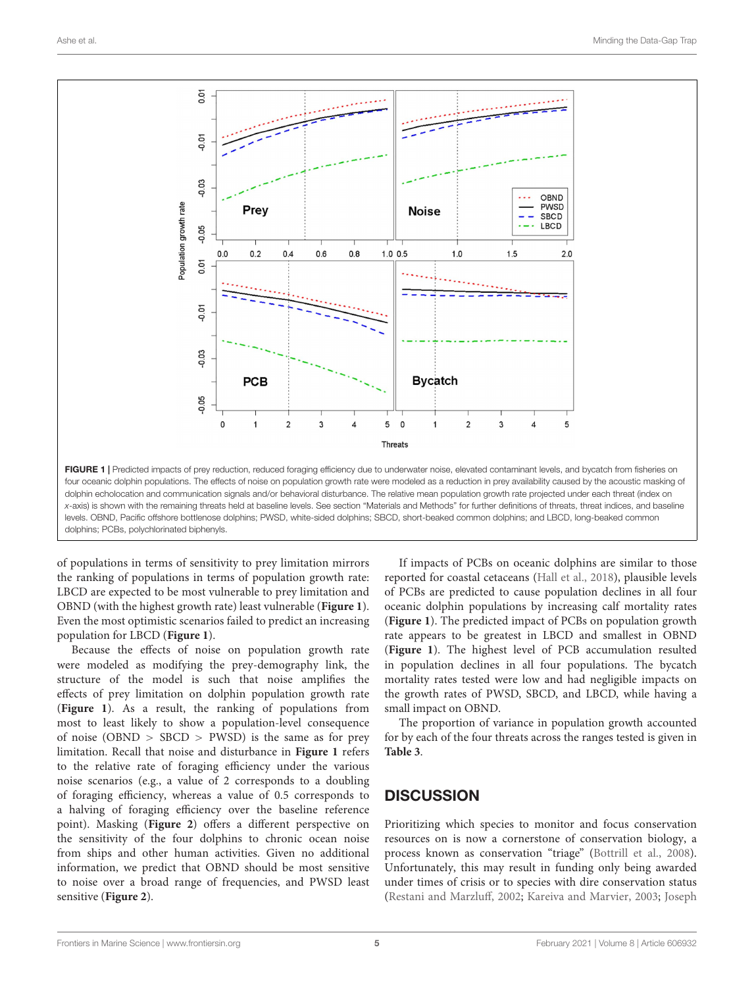

<span id="page-4-0"></span>four oceanic dolphin populations. The effects of noise on population growth rate were modeled as a reduction in prey availability caused by the acoustic masking of dolphin echolocation and communication signals and/or behavioral disturbance. The relative mean population growth rate projected under each threat (index on x-axis) is shown with the remaining threats held at baseline levels. See section "Materials and Methods" for further definitions of threats, threat indices, and baseline levels. OBND, Pacific offshore bottlenose dolphins; PWSD, white-sided dolphins; SBCD, short-beaked common dolphins; and LBCD, long-beaked common dolphins; PCBs, polychlorinated biphenyls.

of populations in terms of sensitivity to prey limitation mirrors the ranking of populations in terms of population growth rate: LBCD are expected to be most vulnerable to prey limitation and OBND (with the highest growth rate) least vulnerable (**[Figure 1](#page-4-0)**). Even the most optimistic scenarios failed to predict an increasing population for LBCD (**[Figure 1](#page-4-0)**).

Because the effects of noise on population growth rate were modeled as modifying the prey-demography link, the structure of the model is such that noise amplifies the effects of prey limitation on dolphin population growth rate (**[Figure 1](#page-4-0)**). As a result, the ranking of populations from most to least likely to show a population-level consequence of noise (OBND > SBCD > PWSD) is the same as for prey limitation. Recall that noise and disturbance in **[Figure 1](#page-4-0)** refers to the relative rate of foraging efficiency under the various noise scenarios (e.g., a value of 2 corresponds to a doubling of foraging efficiency, whereas a value of 0.5 corresponds to a halving of foraging efficiency over the baseline reference point). Masking (**[Figure 2](#page-5-0)**) offers a different perspective on the sensitivity of the four dolphins to chronic ocean noise from ships and other human activities. Given no additional information, we predict that OBND should be most sensitive to noise over a broad range of frequencies, and PWSD least sensitive (**[Figure 2](#page-5-0)**).

If impacts of PCBs on oceanic dolphins are similar to those reported for coastal cetaceans [\(Hall et al.,](#page-7-24) [2018\)](#page-7-24), plausible levels of PCBs are predicted to cause population declines in all four oceanic dolphin populations by increasing calf mortality rates (**[Figure 1](#page-4-0)**). The predicted impact of PCBs on population growth rate appears to be greatest in LBCD and smallest in OBND (**[Figure 1](#page-4-0)**). The highest level of PCB accumulation resulted in population declines in all four populations. The bycatch mortality rates tested were low and had negligible impacts on the growth rates of PWSD, SBCD, and LBCD, while having a small impact on OBND.

The proportion of variance in population growth accounted for by each of the four threats across the ranges tested is given in **[Table 3](#page-5-1)**.

## **DISCUSSION**

Prioritizing which species to monitor and focus conservation resources on is now a cornerstone of conservation biology, a process known as conservation "triage" [\(Bottrill et al.,](#page-7-25) [2008\)](#page-7-25). Unfortunately, this may result in funding only being awarded under times of crisis or to species with dire conservation status [\(Restani and Marzluff,](#page-8-27) [2002;](#page-8-27) [Kareiva and Marvier,](#page-7-26) [2003;](#page-7-26) [Joseph](#page-7-27)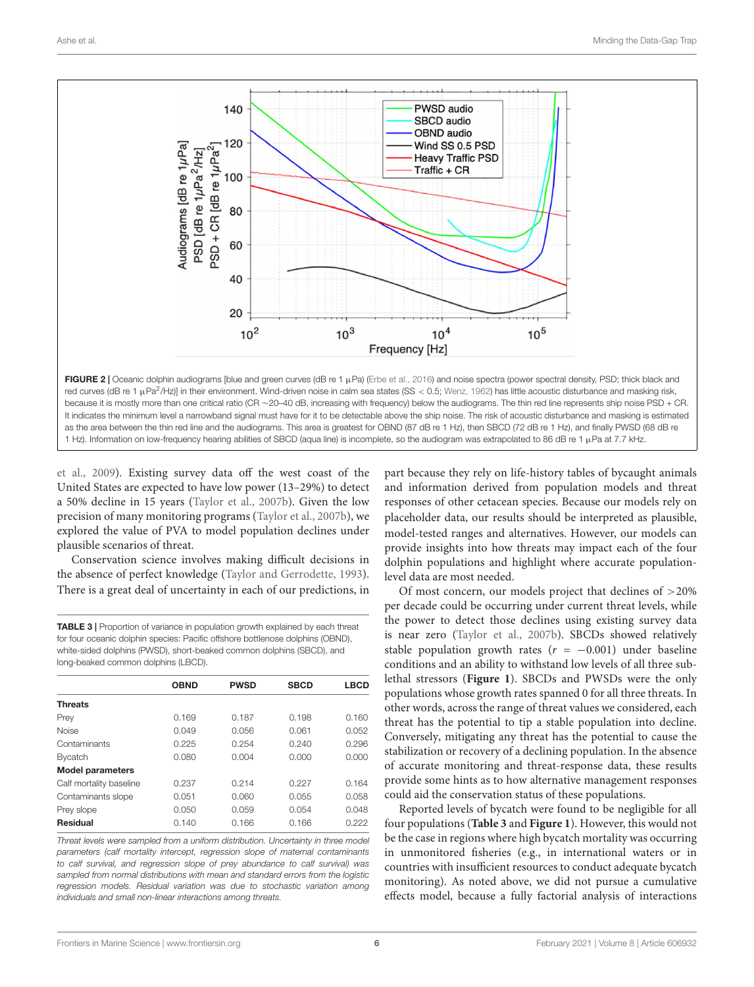

<span id="page-5-0"></span>[et al.,](#page-7-27) [2009\)](#page-7-27). Existing survey data off the west coast of the United States are expected to have low power (13–29%) to detect a 50% decline in 15 years [\(Taylor et al.,](#page-8-6) [2007b\)](#page-8-6). Given the low precision of many monitoring programs [\(Taylor et al.,](#page-8-6) [2007b\)](#page-8-6), we explored the value of PVA to model population declines under plausible scenarios of threat.

Conservation science involves making difficult decisions in the absence of perfect knowledge [\(Taylor and Gerrodette,](#page-8-29) [1993\)](#page-8-29). There is a great deal of uncertainty in each of our predictions, in

<span id="page-5-1"></span>TABLE 3 | Proportion of variance in population growth explained by each threat for four oceanic dolphin species: Pacific offshore bottlenose dolphins (OBND), white-sided dolphins (PWSD), short-beaked common dolphins (SBCD), and long-beaked common dolphins (LBCD).

|                         | <b>OBND</b> | <b>PWSD</b> | <b>SBCD</b> | <b>LBCD</b> |
|-------------------------|-------------|-------------|-------------|-------------|
| <b>Threats</b>          |             |             |             |             |
| Prey                    | 0.169       | 0.187       | 0.198       | 0.160       |
| <b>Noise</b>            | 0.049       | 0.056       | 0.061       | 0.052       |
| Contaminants            | 0.225       | 0.254       | 0.240       | 0.296       |
| <b>Bycatch</b>          | 0.080       | 0.004       | 0.000       | 0.000       |
| <b>Model parameters</b> |             |             |             |             |
| Calf mortality baseline | 0.237       | 0.214       | 0.227       | 0.164       |
| Contaminants slope      | 0.051       | 0.060       | 0.055       | 0.058       |
| Prey slope              | 0.050       | 0.059       | 0.054       | 0.048       |
| Residual                | 0.140       | 0.166       | 0.166       | 0.222       |
|                         |             |             |             |             |

Threat levels were sampled from a uniform distribution. Uncertainty in three model parameters (calf mortality intercept, regression slope of maternal contaminants to calf survival, and regression slope of prey abundance to calf survival) was sampled from normal distributions with mean and standard errors from the logistic regression models. Residual variation was due to stochastic variation among individuals and small non-linear interactions among threats.

part because they rely on life-history tables of bycaught animals and information derived from population models and threat responses of other cetacean species. Because our models rely on placeholder data, our results should be interpreted as plausible, model-tested ranges and alternatives. However, our models can provide insights into how threats may impact each of the four dolphin populations and highlight where accurate populationlevel data are most needed.

Of most concern, our models project that declines of >20% per decade could be occurring under current threat levels, while the power to detect those declines using existing survey data is near zero [\(Taylor et al.,](#page-8-6) [2007b\)](#page-8-6). SBCDs showed relatively stable population growth rates ( $r = -0.001$ ) under baseline conditions and an ability to withstand low levels of all three sublethal stressors (**[Figure 1](#page-4-0)**). SBCDs and PWSDs were the only populations whose growth rates spanned 0 for all three threats. In other words, across the range of threat values we considered, each threat has the potential to tip a stable population into decline. Conversely, mitigating any threat has the potential to cause the stabilization or recovery of a declining population. In the absence of accurate monitoring and threat-response data, these results provide some hints as to how alternative management responses could aid the conservation status of these populations.

Reported levels of bycatch were found to be negligible for all four populations (**[Table 3](#page-5-1)** and **[Figure 1](#page-4-0)**). However, this would not be the case in regions where high bycatch mortality was occurring in unmonitored fisheries (e.g., in international waters or in countries with insufficient resources to conduct adequate bycatch monitoring). As noted above, we did not pursue a cumulative effects model, because a fully factorial analysis of interactions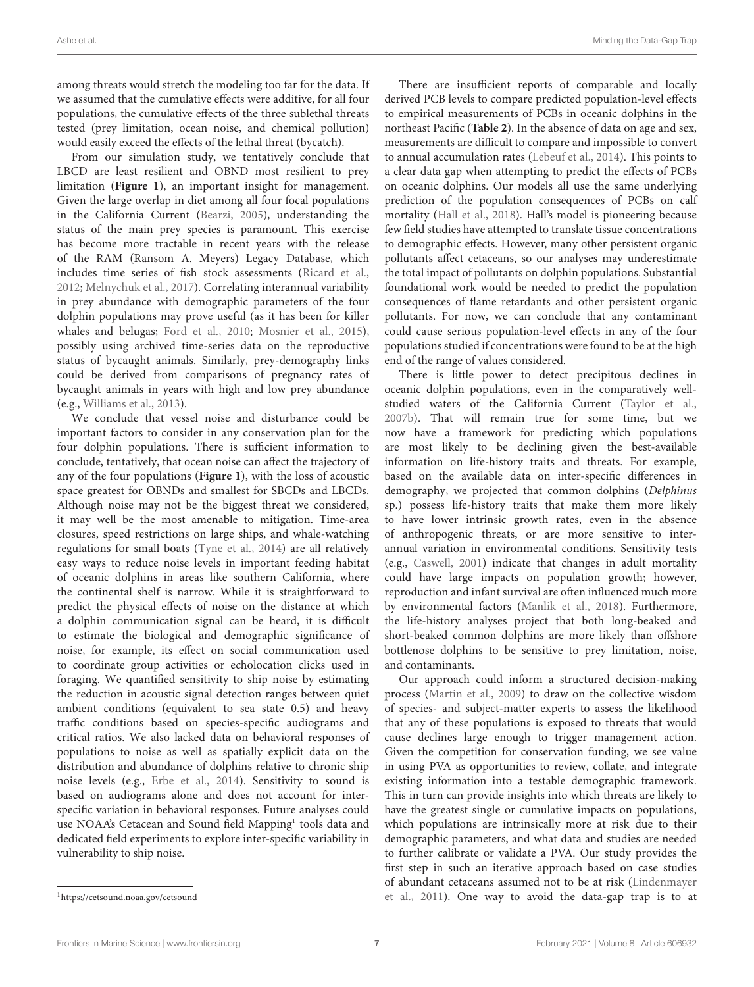among threats would stretch the modeling too far for the data. If we assumed that the cumulative effects were additive, for all four populations, the cumulative effects of the three sublethal threats tested (prey limitation, ocean noise, and chemical pollution) would easily exceed the effects of the lethal threat (bycatch).

From our simulation study, we tentatively conclude that LBCD are least resilient and OBND most resilient to prey limitation (**[Figure 1](#page-4-0)**), an important insight for management. Given the large overlap in diet among all four focal populations in the California Current [\(Bearzi,](#page-7-28) [2005\)](#page-7-28), understanding the status of the main prey species is paramount. This exercise has become more tractable in recent years with the release of the RAM (Ransom A. Meyers) Legacy Database, which includes time series of fish stock assessments [\(Ricard et al.,](#page-8-30) [2012;](#page-8-30) [Melnychuk et al.,](#page-8-31) [2017\)](#page-8-31). Correlating interannual variability in prey abundance with demographic parameters of the four dolphin populations may prove useful (as it has been for killer whales and belugas; [Ford et al.,](#page-7-19) [2010;](#page-7-19) [Mosnier et al.,](#page-8-20) [2015\)](#page-8-20), possibly using archived time-series data on the reproductive status of bycaught animals. Similarly, prey-demography links could be derived from comparisons of pregnancy rates of bycaught animals in years with high and low prey abundance (e.g., [Williams et al.,](#page-9-2) [2013\)](#page-9-2).

We conclude that vessel noise and disturbance could be important factors to consider in any conservation plan for the four dolphin populations. There is sufficient information to conclude, tentatively, that ocean noise can affect the trajectory of any of the four populations (**[Figure 1](#page-4-0)**), with the loss of acoustic space greatest for OBNDs and smallest for SBCDs and LBCDs. Although noise may not be the biggest threat we considered, it may well be the most amenable to mitigation. Time-area closures, speed restrictions on large ships, and whale-watching regulations for small boats [\(Tyne et al.,](#page-8-32) [2014\)](#page-8-32) are all relatively easy ways to reduce noise levels in important feeding habitat of oceanic dolphins in areas like southern California, where the continental shelf is narrow. While it is straightforward to predict the physical effects of noise on the distance at which a dolphin communication signal can be heard, it is difficult to estimate the biological and demographic significance of noise, for example, its effect on social communication used to coordinate group activities or echolocation clicks used in foraging. We quantified sensitivity to ship noise by estimating the reduction in acoustic signal detection ranges between quiet ambient conditions (equivalent to sea state 0.5) and heavy traffic conditions based on species-specific audiograms and critical ratios. We also lacked data on behavioral responses of populations to noise as well as spatially explicit data on the distribution and abundance of dolphins relative to chronic ship noise levels (e.g., [Erbe et al.,](#page-7-29) [2014\)](#page-7-29). Sensitivity to sound is based on audiograms alone and does not account for interspecific variation in behavioral responses. Future analyses could use NOAA's Cetacean and Sound field Mapping<sup>[1](#page-6-0)</sup> tools data and dedicated field experiments to explore inter-specific variability in vulnerability to ship noise.

There is little power to detect precipitous declines in oceanic dolphin populations, even in the comparatively wellstudied waters of the California Current [\(Taylor et al.,](#page-8-6) [2007b\)](#page-8-6). That will remain true for some time, but we now have a framework for predicting which populations are most likely to be declining given the best-available information on life-history traits and threats. For example, based on the available data on inter-specific differences in demography, we projected that common dolphins (Delphinus sp.) possess life-history traits that make them more likely to have lower intrinsic growth rates, even in the absence of anthropogenic threats, or are more sensitive to interannual variation in environmental conditions. Sensitivity tests (e.g., [Caswell,](#page-7-30) [2001\)](#page-7-30) indicate that changes in adult mortality could have large impacts on population growth; however, reproduction and infant survival are often influenced much more by environmental factors [\(Manlik et al.,](#page-8-34) [2018\)](#page-8-34). Furthermore, the life-history analyses project that both long-beaked and short-beaked common dolphins are more likely than offshore bottlenose dolphins to be sensitive to prey limitation, noise, and contaminants.

Our approach could inform a structured decision-making process [\(Martin et al.,](#page-8-35) [2009\)](#page-8-35) to draw on the collective wisdom of species- and subject-matter experts to assess the likelihood that any of these populations is exposed to threats that would cause declines large enough to trigger management action. Given the competition for conservation funding, we see value in using PVA as opportunities to review, collate, and integrate existing information into a testable demographic framework. This in turn can provide insights into which threats are likely to have the greatest single or cumulative impacts on populations, which populations are intrinsically more at risk due to their demographic parameters, and what data and studies are needed to further calibrate or validate a PVA. Our study provides the first step in such an iterative approach based on case studies of abundant cetaceans assumed not to be at risk [\(Lindenmayer](#page-8-36) [et al.,](#page-8-36) [2011\)](#page-8-36). One way to avoid the data-gap trap is to at

There are insufficient reports of comparable and locally derived PCB levels to compare predicted population-level effects to empirical measurements of PCBs in oceanic dolphins in the northeast Pacific (**[Table 2](#page-3-0)**). In the absence of data on age and sex, measurements are difficult to compare and impossible to convert to annual accumulation rates [\(Lebeuf et al.,](#page-8-33) [2014\)](#page-8-33). This points to a clear data gap when attempting to predict the effects of PCBs on oceanic dolphins. Our models all use the same underlying prediction of the population consequences of PCBs on calf mortality [\(Hall et al.,](#page-7-24) [2018\)](#page-7-24). Hall's model is pioneering because few field studies have attempted to translate tissue concentrations to demographic effects. However, many other persistent organic pollutants affect cetaceans, so our analyses may underestimate the total impact of pollutants on dolphin populations. Substantial foundational work would be needed to predict the population consequences of flame retardants and other persistent organic pollutants. For now, we can conclude that any contaminant could cause serious population-level effects in any of the four populations studied if concentrations were found to be at the high end of the range of values considered.

<span id="page-6-0"></span><sup>1</sup><https://cetsound.noaa.gov/cetsound>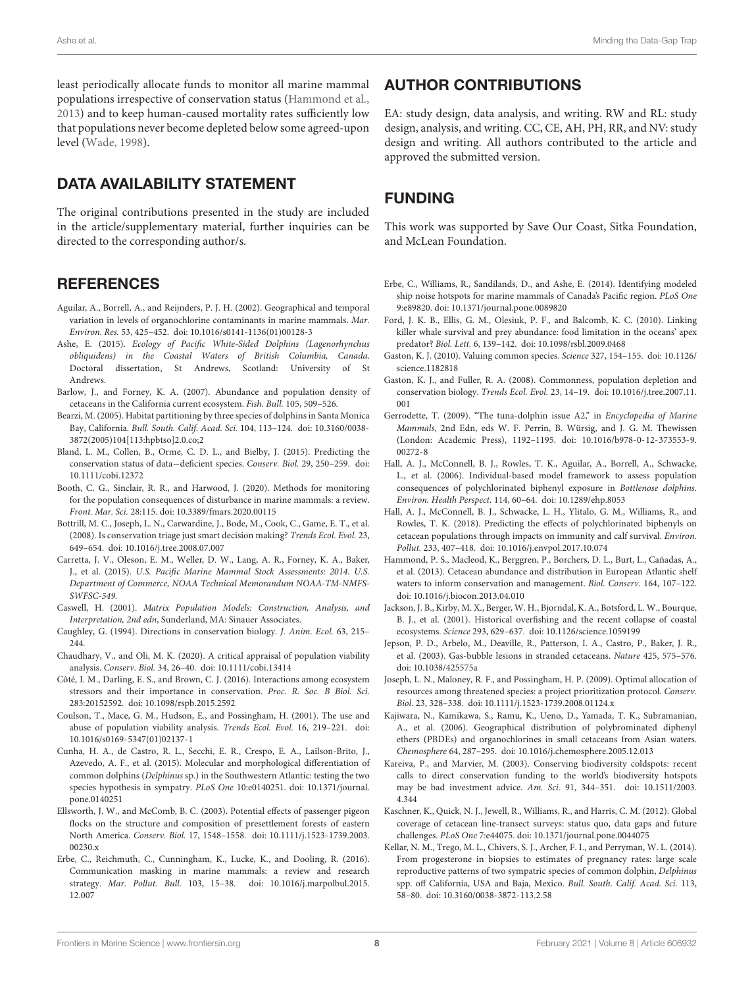least periodically allocate funds to monitor all marine mammal populations irrespective of conservation status [\(Hammond et al.,](#page-7-10) [2013\)](#page-7-10) and to keep human-caused mortality rates sufficiently low that populations never become depleted below some agreed-upon level [\(Wade,](#page-8-37) [1998\)](#page-8-37).

## DATA AVAILABILITY STATEMENT

The original contributions presented in the study are included in the article/supplementary material, further inquiries can be directed to the corresponding author/s.

## **REFERENCES**

- <span id="page-7-21"></span>Aguilar, A., Borrell, A., and Reijnders, P. J. H. (2002). Geographical and temporal variation in levels of organochlorine contaminants in marine mammals. Mar. Environ. Res. 53, 425–452. [doi: 10.1016/s0141-1136\(01\)00128-3](https://doi.org/10.1016/s0141-1136(01)00128-3)
- <span id="page-7-17"></span>Ashe, E. (2015). Ecology of Pacific White-Sided Dolphins (Lagenorhynchus obliquidens) in the Coastal Waters of British Columbia, Canada. Doctoral dissertation, St Andrews, Scotland: University of St Andrews.
- <span id="page-7-16"></span>Barlow, J., and Forney, K. A. (2007). Abundance and population density of cetaceans in the California current ecosystem. Fish. Bull. 105, 509–526.
- <span id="page-7-28"></span>Bearzi, M. (2005). Habitat partitioning by three species of dolphins in Santa Monica Bay, California. Bull. South. Calif. Acad. Sci. 104, 113–124. [doi: 10.3160/0038-](https://doi.org/10.3160/0038-3872(2005)104[113:hpbtso]2.0.co;2) [3872\(2005\)104\[113:hpbtso\]2.0.co;2](https://doi.org/10.3160/0038-3872(2005)104[113:hpbtso]2.0.co;2)
- <span id="page-7-12"></span>Bland, L. M., Collen, B., Orme, C. D. L., and Bielby, J. (2015). Predicting the conservation status of data−deficient species. Conserv. Biol. 29, 250–259. [doi:](https://doi.org/10.1111/cobi.12372) [10.1111/cobi.12372](https://doi.org/10.1111/cobi.12372)
- <span id="page-7-6"></span>Booth, C. G., Sinclair, R. R., and Harwood, J. (2020). Methods for monitoring for the population consequences of disturbance in marine mammals: a review. Front. Mar. Sci. 28:115. [doi: 10.3389/fmars.2020.00115](https://doi.org/10.3389/fmars.2020.00115)
- <span id="page-7-25"></span>Bottrill, M. C., Joseph, L. N., Carwardine, J., Bode, M., Cook, C., Game, E. T., et al. (2008). Is conservation triage just smart decision making? Trends Ecol. Evol. 23, 649–654. [doi: 10.1016/j.tree.2008.07.007](https://doi.org/10.1016/j.tree.2008.07.007)
- <span id="page-7-7"></span>Carretta, J. V., Oleson, E. M., Weller, D. W., Lang, A. R., Forney, K. A., Baker, J., et al. (2015). U.S. Pacific Marine Mammal Stock Assessments: 2014. U.S. Department of Commerce, NOAA Technical Memorandum NOAA-TM-NMFS-SWFSC-549.
- <span id="page-7-30"></span>Caswell, H. (2001). Matrix Population Models: Construction, Analysis, and Interpretation, 2nd edn, Sunderland, MA: Sinauer Associates.
- <span id="page-7-0"></span>Caughley, G. (1994). Directions in conservation biology. J. Anim. Ecol. 63, 215– 244.
- <span id="page-7-14"></span>Chaudhary, V., and Oli, M. K. (2020). A critical appraisal of population viability analysis. Conserv. Biol. 34, 26–40. [doi: 10.1111/cobi.13414](https://doi.org/10.1111/cobi.13414)
- <span id="page-7-11"></span>Côté, I. M., Darling, E. S., and Brown, C. J. (2016). Interactions among ecosystem stressors and their importance in conservation. Proc. R. Soc. B Biol. Sci. 283:20152592. [doi: 10.1098/rspb.2015.2592](https://doi.org/10.1098/rspb.2015.2592)
- <span id="page-7-15"></span>Coulson, T., Mace, G. M., Hudson, E., and Possingham, H. (2001). The use and abuse of population viability analysis. Trends Ecol. Evol. 16, 219–221. [doi:](https://doi.org/10.1016/s0169-5347(01)02137-1) [10.1016/s0169-5347\(01\)02137-1](https://doi.org/10.1016/s0169-5347(01)02137-1)
- <span id="page-7-13"></span>Cunha, H. A., de Castro, R. L., Secchi, E. R., Crespo, E. A., Lailson-Brito, J., Azevedo, A. F., et al. (2015). Molecular and morphological differentiation of common dolphins (Delphinus sp.) in the Southwestern Atlantic: testing the two species hypothesis in sympatry. PLoS One 10:e0140251. [doi: 10.1371/journal.](https://doi.org/10.1371/journal.pone.0140251) [pone.0140251](https://doi.org/10.1371/journal.pone.0140251)
- <span id="page-7-4"></span>Ellsworth, J. W., and McComb, B. C. (2003). Potential effects of passenger pigeon flocks on the structure and composition of presettlement forests of eastern North America. Conserv. Biol. 17, 1548–1558. [doi: 10.1111/j.1523-1739.2003.](https://doi.org/10.1111/j.1523-1739.2003.00230.x) [00230.x](https://doi.org/10.1111/j.1523-1739.2003.00230.x)
- <span id="page-7-20"></span>Erbe, C., Reichmuth, C., Cunningham, K., Lucke, K., and Dooling, R. (2016). Communication masking in marine mammals: a review and research strategy. Mar. Pollut. Bull. 103, 15–38. [doi: 10.1016/j.marpolbul.2015.](https://doi.org/10.1016/j.marpolbul.2015.12.007) [12.007](https://doi.org/10.1016/j.marpolbul.2015.12.007)

## AUTHOR CONTRIBUTIONS

EA: study design, data analysis, and writing. RW and RL: study design, analysis, and writing. CC, CE, AH, PH, RR, and NV: study design and writing. All authors contributed to the article and approved the submitted version.

# FUNDING

This work was supported by Save Our Coast, Sitka Foundation, and McLean Foundation.

- <span id="page-7-29"></span>Erbe, C., Williams, R., Sandilands, D., and Ashe, E. (2014). Identifying modeled ship noise hotspots for marine mammals of Canada's Pacific region. PLoS One 9:e89820. [doi: 10.1371/journal.pone.0089820](https://doi.org/10.1371/journal.pone.0089820)
- <span id="page-7-19"></span>Ford, J. K. B., Ellis, G. M., Olesiuk, P. F., and Balcomb, K. C. (2010). Linking killer whale survival and prey abundance: food limitation in the oceans' apex predator? Biol. Lett. 6, 139–142. [doi: 10.1098/rsbl.2009.0468](https://doi.org/10.1098/rsbl.2009.0468)
- <span id="page-7-2"></span>Gaston, K. J. (2010). Valuing common species. Science 327, 154–155. [doi: 10.1126/](https://doi.org/10.1126/science.1182818) [science.1182818](https://doi.org/10.1126/science.1182818)
- <span id="page-7-1"></span>Gaston, K. J., and Fuller, R. A. (2008). Commonness, population depletion and conservation biology. Trends Ecol. Evol. 23, 14–19. [doi: 10.1016/j.tree.2007.11.](https://doi.org/10.1016/j.tree.2007.11.001) [001](https://doi.org/10.1016/j.tree.2007.11.001)
- <span id="page-7-9"></span>Gerrodette, T. (2009). "The tuna-dolphin issue A2," in Encyclopedia of Marine Mammals, 2nd Edn, eds W. F. Perrin, B. Würsig, and J. G. M. Thewissen (London: Academic Press), 1192–1195. [doi: 10.1016/b978-0-12-373553-9.](https://doi.org/10.1016/b978-0-12-373553-9.00272-8) [00272-8](https://doi.org/10.1016/b978-0-12-373553-9.00272-8)
- <span id="page-7-23"></span>Hall, A. J., McConnell, B. J., Rowles, T. K., Aguilar, A., Borrell, A., Schwacke, L., et al. (2006). Individual-based model framework to assess population consequences of polychlorinated biphenyl exposure in Bottlenose dolphins. Environ. Health Perspect. 114, 60–64. [doi: 10.1289/ehp.8053](https://doi.org/10.1289/ehp.8053)
- <span id="page-7-24"></span>Hall, A. J., McConnell, B. J., Schwacke, L. H., Ylitalo, G. M., Williams, R., and Rowles, T. K. (2018). Predicting the effects of polychlorinated biphenyls on cetacean populations through impacts on immunity and calf survival. Environ. Pollut. 233, 407–418. [doi: 10.1016/j.envpol.2017.10.074](https://doi.org/10.1016/j.envpol.2017.10.074)
- <span id="page-7-10"></span>Hammond, P. S., Macleod, K., Berggren, P., Borchers, D. L., Burt, L., Cañadas, A., et al. (2013). Cetacean abundance and distribution in European Atlantic shelf waters to inform conservation and management. Biol. Conserv. 164, 107–122. [doi: 10.1016/j.biocon.2013.04.010](https://doi.org/10.1016/j.biocon.2013.04.010)
- <span id="page-7-3"></span>Jackson, J. B., Kirby, M. X., Berger, W. H., Bjorndal, K. A., Botsford, L. W., Bourque, B. J., et al. (2001). Historical overfishing and the recent collapse of coastal ecosystems. Science 293, 629–637. [doi: 10.1126/science.1059199](https://doi.org/10.1126/science.1059199)
- <span id="page-7-8"></span>Jepson, P. D., Arbelo, M., Deaville, R., Patterson, I. A., Castro, P., Baker, J. R., et al. (2003). Gas-bubble lesions in stranded cetaceans. Nature 425, 575–576. [doi: 10.1038/425575a](https://doi.org/10.1038/425575a)
- <span id="page-7-27"></span>Joseph, L. N., Maloney, R. F., and Possingham, H. P. (2009). Optimal allocation of resources among threatened species: a project prioritization protocol. Conserv. Biol. 23, 328–338. [doi: 10.1111/j.1523-1739.2008.01124.x](https://doi.org/10.1111/j.1523-1739.2008.01124.x)
- <span id="page-7-22"></span>Kajiwara, N., Kamikawa, S., Ramu, K., Ueno, D., Yamada, T. K., Subramanian, A., et al. (2006). Geographical distribution of polybrominated diphenyl ethers (PBDEs) and organochlorines in small cetaceans from Asian waters. Chemosphere 64, 287–295. [doi: 10.1016/j.chemosphere.2005.12.013](https://doi.org/10.1016/j.chemosphere.2005.12.013)
- <span id="page-7-26"></span>Kareiva, P., and Marvier, M. (2003). Conserving biodiversity coldspots: recent calls to direct conservation funding to the world's biodiversity hotspots may be bad investment advice. Am. Sci. 91, 344–351. [doi: 10.1511/2003.](https://doi.org/10.1511/2003.4.344) [4.344](https://doi.org/10.1511/2003.4.344)
- <span id="page-7-5"></span>Kaschner, K., Quick, N. J., Jewell, R., Williams, R., and Harris, C. M. (2012). Global coverage of cetacean line-transect surveys: status quo, data gaps and future challenges. PLoS One 7:e44075. [doi: 10.1371/journal.pone.0044075](https://doi.org/10.1371/journal.pone.0044075)
- <span id="page-7-18"></span>Kellar, N. M., Trego, M. L., Chivers, S. J., Archer, F. I., and Perryman, W. L. (2014). From progesterone in biopsies to estimates of pregnancy rates: large scale reproductive patterns of two sympatric species of common dolphin, Delphinus spp. off California, USA and Baja, Mexico. Bull. South. Calif. Acad. Sci. 113, 58–80. [doi: 10.3160/0038-3872-113.2.58](https://doi.org/10.3160/0038-3872-113.2.58)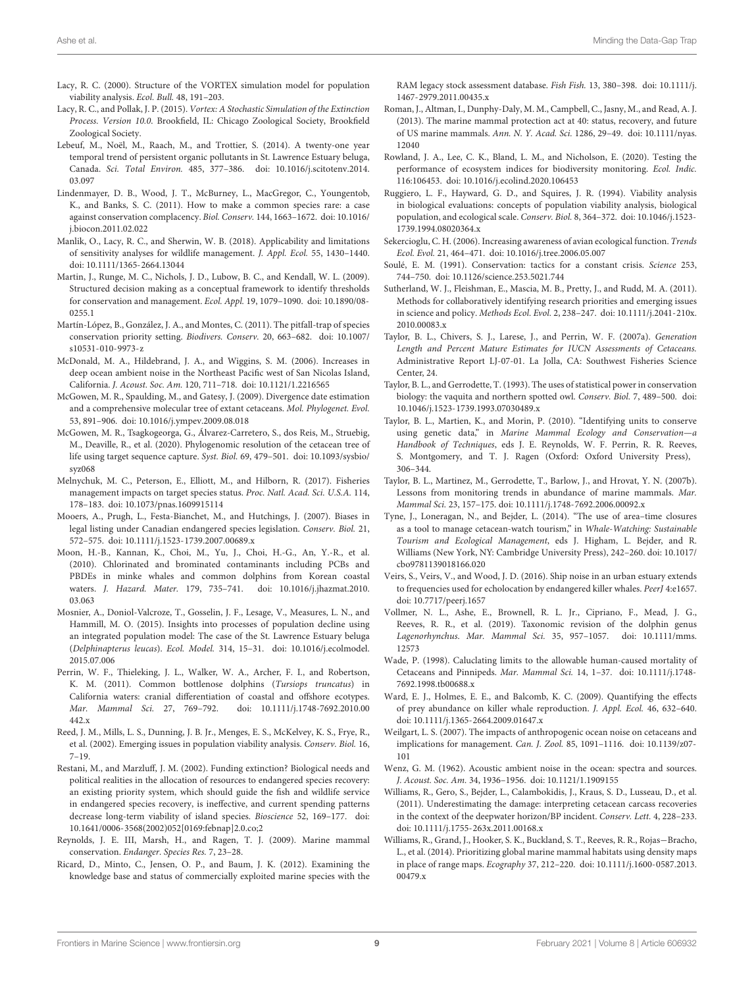- <span id="page-8-16"></span>Lacy, R. C. (2000). Structure of the VORTEX simulation model for population viability analysis. Ecol. Bull. 48, 191–203.
- <span id="page-8-18"></span>Lacy, R. C., and Pollak, J. P. (2015). Vortex: A Stochastic Simulation of the Extinction Process. Version 10.0. Brookfield, IL: Chicago Zoological Society, Brookfield Zoological Society.
- <span id="page-8-33"></span>Lebeuf, M., Noël, M., Raach, M., and Trottier, S. (2014). A twenty-one year temporal trend of persistent organic pollutants in St. Lawrence Estuary beluga, Canada. Sci. Total Environ. 485, 377–386. [doi: 10.1016/j.scitotenv.2014.](https://doi.org/10.1016/j.scitotenv.2014.03.097) [03.097](https://doi.org/10.1016/j.scitotenv.2014.03.097)
- <span id="page-8-36"></span>Lindenmayer, D. B., Wood, J. T., McBurney, L., MacGregor, C., Youngentob, K., and Banks, S. C. (2011). How to make a common species rare: a case against conservation complacency. Biol. Conserv. 144, 1663–1672. [doi: 10.1016/](https://doi.org/10.1016/j.biocon.2011.02.022) [j.biocon.2011.02.022](https://doi.org/10.1016/j.biocon.2011.02.022)
- <span id="page-8-34"></span>Manlik, O., Lacy, R. C., and Sherwin, W. B. (2018). Applicability and limitations of sensitivity analyses for wildlife management. J. Appl. Ecol. 55, 1430–1440. [doi: 10.1111/1365-2664.13044](https://doi.org/10.1111/1365-2664.13044)
- <span id="page-8-35"></span>Martin, J., Runge, M. C., Nichols, J. D., Lubow, B. C., and Kendall, W. L. (2009). Structured decision making as a conceptual framework to identify thresholds for conservation and management. Ecol. Appl. 19, 1079–1090. [doi: 10.1890/08-](https://doi.org/10.1890/08-0255.1) [0255.1](https://doi.org/10.1890/08-0255.1)
- <span id="page-8-7"></span>Martín-López, B., González, J. A., and Montes, C. (2011). The pitfall-trap of species conservation priority setting. Biodivers. Conserv. 20, 663–682. [doi: 10.1007/](https://doi.org/10.1007/s10531-010-9973-z) [s10531-010-9973-z](https://doi.org/10.1007/s10531-010-9973-z)
- <span id="page-8-24"></span>McDonald, M. A., Hildebrand, J. A., and Wiggins, S. M. (2006). Increases in deep ocean ambient noise in the Northeast Pacific west of San Nicolas Island, California. J. Acoust. Soc. Am. 120, 711–718. [doi: 10.1121/1.2216565](https://doi.org/10.1121/1.2216565)
- <span id="page-8-9"></span>McGowen, M. R., Spaulding, M., and Gatesy, J. (2009). Divergence date estimation and a comprehensive molecular tree of extant cetaceans. Mol. Phylogenet. Evol. 53, 891–906. [doi: 10.1016/j.ympev.2009.08.018](https://doi.org/10.1016/j.ympev.2009.08.018)
- <span id="page-8-10"></span>McGowen, M. R., Tsagkogeorga, G., Álvarez-Carretero, S., dos Reis, M., Struebig, M., Deaville, R., et al. (2020). Phylogenomic resolution of the cetacean tree of life using target sequence capture. Syst. Biol. 69, 479–501. [doi: 10.1093/sysbio/](https://doi.org/10.1093/sysbio/syz068) [syz068](https://doi.org/10.1093/sysbio/syz068)
- <span id="page-8-31"></span>Melnychuk, M. C., Peterson, E., Elliott, M., and Hilborn, R. (2017). Fisheries management impacts on target species status. Proc. Natl. Acad. Sci. U.S.A. 114, 178–183. [doi: 10.1073/pnas.1609915114](https://doi.org/10.1073/pnas.1609915114)
- <span id="page-8-3"></span>Mooers, A., Prugh, L., Festa-Bianchet, M., and Hutchings, J. (2007). Biases in legal listing under Canadian endangered species legislation. Conserv. Biol. 21, 572–575. [doi: 10.1111/j.1523-1739.2007.00689.x](https://doi.org/10.1111/j.1523-1739.2007.00689.x)
- <span id="page-8-23"></span>Moon, H.-B., Kannan, K., Choi, M., Yu, J., Choi, H.-G., An, Y.-R., et al. (2010). Chlorinated and brominated contaminants including PCBs and PBDEs in minke whales and common dolphins from Korean coastal waters. J. Hazard. Mater. 179, 735–741. [doi: 10.1016/j.jhazmat.2010.](https://doi.org/10.1016/j.jhazmat.2010.03.063) [03.063](https://doi.org/10.1016/j.jhazmat.2010.03.063)
- <span id="page-8-20"></span>Mosnier, A., Doniol-Valcroze, T., Gosselin, J. F., Lesage, V., Measures, L. N., and Hammill, M. O. (2015). Insights into processes of population decline using an integrated population model: The case of the St. Lawrence Estuary beluga (Delphinapterus leucas). Ecol. Model. 314, 15–31. [doi: 10.1016/j.ecolmodel.](https://doi.org/10.1016/j.ecolmodel.2015.07.006) [2015.07.006](https://doi.org/10.1016/j.ecolmodel.2015.07.006)
- <span id="page-8-11"></span>Perrin, W. F., Thieleking, J. L., Walker, W. A., Archer, F. I., and Robertson, K. M. (2011). Common bottlenose dolphins (Tursiops truncatus) in California waters: cranial differentiation of coastal and offshore ecotypes. Mar. Mammal Sci. 27, 769–792. [doi: 10.1111/j.1748-7692.2010.00](https://doi.org/10.1111/j.1748-7692.2010.00442.x) [442.x](https://doi.org/10.1111/j.1748-7692.2010.00442.x)
- <span id="page-8-15"></span>Reed, J. M., Mills, L. S., Dunning, J. B. Jr., Menges, E. S., McKelvey, K. S., Frye, R., et al. (2002). Emerging issues in population viability analysis. Conserv. Biol. 16, 7–19.
- <span id="page-8-27"></span>Restani, M., and Marzluff, J. M. (2002). Funding extinction? Biological needs and political realities in the allocation of resources to endangered species recovery: an existing priority system, which should guide the fish and wildlife service in endangered species recovery, is ineffective, and current spending patterns decrease long-term viability of island species. Bioscience 52, 169–177. [doi:](https://doi.org/10.1641/0006-3568(2002)052[0169:febnap]2.0.co;2) [10.1641/0006-3568\(2002\)052\[0169:febnap\]2.0.co;2](https://doi.org/10.1641/0006-3568(2002)052[0169:febnap]2.0.co;2)
- <span id="page-8-4"></span>Reynolds, J. E. III, Marsh, H., and Ragen, T. J. (2009). Marine mammal conservation. Endanger. Species Res. 7, 23–28.
- <span id="page-8-30"></span>Ricard, D., Minto, C., Jensen, O. P., and Baum, J. K. (2012). Examining the knowledge base and status of commercially exploited marine species with the

RAM legacy stock assessment database. Fish Fish. 13, 380–398. [doi: 10.1111/j.](https://doi.org/10.1111/j.1467-2979.2011.00435.x) [1467-2979.2011.00435.x](https://doi.org/10.1111/j.1467-2979.2011.00435.x)

- <span id="page-8-2"></span>Roman, J., Altman, I., Dunphy-Daly, M. M., Campbell, C., Jasny, M., and Read, A. J. (2013). The marine mammal protection act at 40: status, recovery, and future of US marine mammals. Ann. N. Y. Acad. Sci. 1286, 29–49. [doi: 10.1111/nyas.](https://doi.org/10.1111/nyas.12040) [12040](https://doi.org/10.1111/nyas.12040)
- <span id="page-8-19"></span>Rowland, J. A., Lee, C. K., Bland, L. M., and Nicholson, E. (2020). Testing the performance of ecosystem indices for biodiversity monitoring. Ecol. Indic. 116:106453. [doi: 10.1016/j.ecolind.2020.106453](https://doi.org/10.1016/j.ecolind.2020.106453)
- <span id="page-8-14"></span>Ruggiero, L. F., Hayward, G. D., and Squires, J. R. (1994). Viability analysis in biological evaluations: concepts of population viability analysis, biological population, and ecological scale. Conserv. Biol. 8, 364–372. [doi: 10.1046/j.1523-](https://doi.org/10.1046/j.1523-1739.1994.08020364.x) [1739.1994.08020364.x](https://doi.org/10.1046/j.1523-1739.1994.08020364.x)
- <span id="page-8-1"></span>Sekercioglu, C. H. (2006). Increasing awareness of avian ecological function. Trends Ecol. Evol. 21, 464–471. [doi: 10.1016/j.tree.2006.05.007](https://doi.org/10.1016/j.tree.2006.05.007)
- <span id="page-8-0"></span>Soulé, E. M. (1991). Conservation: tactics for a constant crisis. Science 253, 744–750. [doi: 10.1126/science.253.5021.744](https://doi.org/10.1126/science.253.5021.744)
- <span id="page-8-8"></span>Sutherland, W. J., Fleishman, E., Mascia, M. B., Pretty, J., and Rudd, M. A. (2011). Methods for collaboratively identifying research priorities and emerging issues in science and policy. Methods Ecol. Evol. 2, 238–247. [doi: 10.1111/j.2041-210x.](https://doi.org/10.1111/j.2041-210x.2010.00083.x) [2010.00083.x](https://doi.org/10.1111/j.2041-210x.2010.00083.x)
- <span id="page-8-17"></span>Taylor, B. L., Chivers, S. J., Larese, J., and Perrin, W. F. (2007a). Generation Length and Percent Mature Estimates for IUCN Assessments of Cetaceans. Administrative Report LJ-07-01. La Jolla, CA: Southwest Fisheries Science Center, 24.
- <span id="page-8-29"></span>Taylor, B. L., and Gerrodette, T. (1993). The uses of statistical power in conservation biology: the vaquita and northern spotted owl. Conserv. Biol. 7, 489–500. [doi:](https://doi.org/10.1046/j.1523-1739.1993.07030489.x) [10.1046/j.1523-1739.1993.07030489.x](https://doi.org/10.1046/j.1523-1739.1993.07030489.x)
- <span id="page-8-13"></span>Taylor, B. L., Martien, K., and Morin, P. (2010). "Identifying units to conserve using genetic data," in Marine Mammal Ecology and Conservation—a Handbook of Techniques, eds J. E. Reynolds, W. F. Perrin, R. R. Reeves, S. Montgomery, and T. J. Ragen (Oxford: Oxford University Press), 306–344.
- <span id="page-8-6"></span>Taylor, B. L., Martinez, M., Gerrodette, T., Barlow, J., and Hrovat, Y. N. (2007b). Lessons from monitoring trends in abundance of marine mammals. Mar. Mammal Sci. 23, 157–175. [doi: 10.1111/j.1748-7692.2006.00092.x](https://doi.org/10.1111/j.1748-7692.2006.00092.x)
- <span id="page-8-32"></span>Tyne, J., Loneragan, N., and Bejder, L. (2014). "The use of area–time closures as a tool to manage cetacean-watch tourism," in Whale-Watching: Sustainable Tourism and Ecological Management, eds J. Higham, L. Bejder, and R. Williams (New York, NY: Cambridge University Press), 242–260. [doi: 10.1017/](https://doi.org/10.1017/cbo9781139018166.020) [cbo9781139018166.020](https://doi.org/10.1017/cbo9781139018166.020)
- <span id="page-8-22"></span>Veirs, S., Veirs, V., and Wood, J. D. (2016). Ship noise in an urban estuary extends to frequencies used for echolocation by endangered killer whales. PeerJ 4:e1657. [doi: 10.7717/peerj.1657](https://doi.org/10.7717/peerj.1657)
- <span id="page-8-12"></span>Vollmer, N. L., Ashe, E., Brownell, R. L. Jr., Cipriano, F., Mead, J. G., Reeves, R. R., et al. (2019). Taxonomic revision of the dolphin genus Lagenorhynchus. Mar. Mammal Sci. 35, 957–1057. [doi: 10.1111/mms.](https://doi.org/10.1111/mms.12573) [12573](https://doi.org/10.1111/mms.12573)
- <span id="page-8-37"></span>Wade, P. (1998). Caluclating limits to the allowable human-caused mortality of Cetaceans and Pinnipeds. Mar. Mammal Sci. 14, 1–37. [doi: 10.1111/j.1748-](https://doi.org/10.1111/j.1748-7692.1998.tb00688.x) [7692.1998.tb00688.x](https://doi.org/10.1111/j.1748-7692.1998.tb00688.x)
- <span id="page-8-21"></span>Ward, E. J., Holmes, E. E., and Balcomb, K. C. (2009). Quantifying the effects of prey abundance on killer whale reproduction. J. Appl. Ecol. 46, 632–640. [doi: 10.1111/j.1365-2664.2009.01647.x](https://doi.org/10.1111/j.1365-2664.2009.01647.x)
- <span id="page-8-5"></span>Weilgart, L. S. (2007). The impacts of anthropogenic ocean noise on cetaceans and implications for management. Can. J. Zool. 85, 1091–1116. [doi: 10.1139/z07-](https://doi.org/10.1139/z07-101) [101](https://doi.org/10.1139/z07-101)
- <span id="page-8-28"></span>Wenz, G. M. (1962). Acoustic ambient noise in the ocean: spectra and sources. J. Acoust. Soc. Am. 34, 1936–1956. [doi: 10.1121/1.1909155](https://doi.org/10.1121/1.1909155)
- <span id="page-8-26"></span>Williams, R., Gero, S., Bejder, L., Calambokidis, J., Kraus, S. D., Lusseau, D., et al. (2011). Underestimating the damage: interpreting cetacean carcass recoveries in the context of the deepwater horizon/BP incident. Conserv. Lett. 4, 228–233. [doi: 10.1111/j.1755-263x.2011.00168.x](https://doi.org/10.1111/j.1755-263x.2011.00168.x)
- <span id="page-8-25"></span>Williams, R., Grand, J., Hooker, S. K., Buckland, S. T., Reeves, R. R., Rojas−Bracho, L., et al. (2014). Prioritizing global marine mammal habitats using density maps in place of range maps. Ecography 37, 212–220. [doi: 10.1111/j.1600-0587.2013.](https://doi.org/10.1111/j.1600-0587.2013.00479.x) [00479.x](https://doi.org/10.1111/j.1600-0587.2013.00479.x)